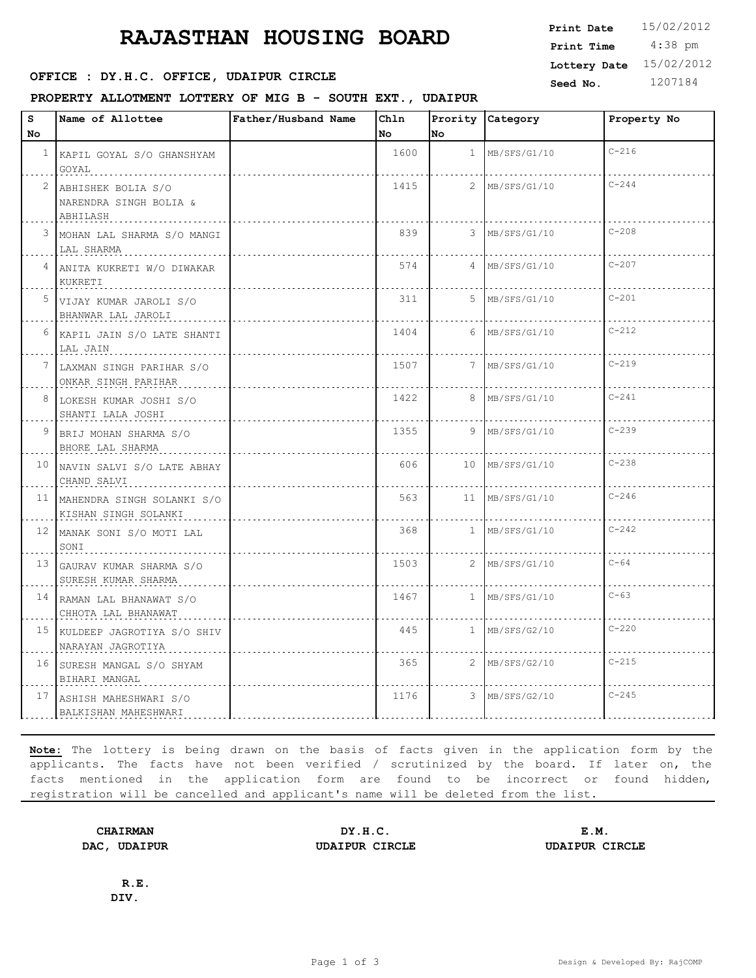# **RAJASTHAN HOUSING BOARD**

### **SEED : DY.H.C. OFFICE, UDAIPUR CIRCLE** Seed No. 1207184

**PROPERTY ALLOTMENT LOTTERY OF MIG B - SOUTH EXT., UDAIPUR**

 4:38 pm **Print Date**  $15/02/2012$ **Print Time Lottery Date** 15/02/2012

| S<br>No         | Name of Allottee                                         | Father/Husband Name | Chln<br>No | No             | Prority Category | Property No |
|-----------------|----------------------------------------------------------|---------------------|------------|----------------|------------------|-------------|
|                 | <sup>1</sup> KAPIL GOYAL S/O GHANSHYAM<br>GOYAL          |                     | 1600       |                | $1$ MB/SFS/G1/10 | $C - 216$   |
| 2               | ABHISHEK BOLIA S/O<br>NARENDRA SINGH BOLIA &<br>ABHILASH |                     | 1415       |                | 2   MB/SFS/G1/10 | $C - 244$   |
| 3               | MOHAN LAL SHARMA S/O MANGI<br>LAL SHARMA                 |                     | 839        |                | 3 MB/SFS/G1/10   | $C - 208$   |
| 4               | ANITA KUKRETI W/O DIWAKAR<br>KUKRETI                     |                     | 574        | $\overline{4}$ | MB/SFS/G1/10     | $C - 207$   |
| 5               | VIJAY KUMAR JAROLI S/O<br>BHANWAR LAL JAROLI             |                     | 311        | 5.             | MB/SFS/G1/10     | $C - 201$   |
| 6               | KAPIL JAIN S/O LATE SHANTI<br>LAL JAIN                   |                     | 1404       | 6              | MB/SFS/G1/10     | $C - 212$   |
| $7^{\circ}$     | LAXMAN SINGH PARIHAR S/O<br>ONKAR SINGH PARIHAR          |                     | 1507       | 7              | MB/SFS/G1/10     | $C - 219$   |
| 8               | LOKESH KUMAR JOSHI S/O<br>SHANTI LALA JOSHI              |                     | 1422       | 8              | MB/SFS/G1/10     | $C - 241$   |
| 9               | BRIJ MOHAN SHARMA S/O<br>BHORE LAL SHARMA                |                     | 1355       | 9              | MB/SFS/G1/10     | $C - 239$   |
|                 | 10 NAVIN SALVI S/O LATE ABHAY<br>CHAND SALVI             |                     | 606        | 10             | MB/SFS/G1/10     | $C - 238$   |
|                 | 11 MAHENDRA SINGH SOLANKI S/O<br>KISHAN SINGH SOLANKI    |                     | 563        | 11             | MB/SFS/G1/10     | $C - 246$   |
|                 | 12 MANAK SONI S/O MOTI LAL<br>SONI                       |                     | 368        | $\mathbf{1}$   | MB/SFS/G1/10     | $C - 242$   |
| 13              | GAURAV KUMAR SHARMA S/O<br>SURESH KUMAR SHARMA           |                     | 1503       |                | 2 MB/SFS/G1/10   | $C - 64$    |
|                 | 14 RAMAN LAL BHANAWAT S/O<br>CHHOTA LAL BHANAWAT         |                     | 1467       | 1              | MB/SFS/G1/10     | $C - 63$    |
| 15 <sub>1</sub> | KULDEEP JAGROTIYA S/O SHIV<br>NARAYAN JAGROTIYA          |                     | 445        |                | $1$ MB/SFS/G2/10 | $C - 220$   |
| 16 <sup>1</sup> | SURESH MANGAL S/O SHYAM<br>BIHARI MANGAL                 |                     | 365        |                | 2 MB/SFS/G2/10   | $C - 215$   |
|                 | 17 ASHISH MAHESHWARI S/O<br>BALKISHAN MAHESHWARI         |                     | 1176       |                | 3 MB/SFS/G2/10   | $C - 245$   |

**Note:** The lottery is being drawn on the basis of facts given in the application form by the applicants. The facts have not been verified / scrutinized by the board. If later on, the facts mentioned in the application form are found to be incorrect or found hidden, registration will be cancelled and applicant's name will be deleted from the list.

**CHAIRMAN DY.H.C. E.M. DAC, UDAIPUR UDAIPUR CIRCLE UDAIPUR CIRCLE**

**R.E. DIV.**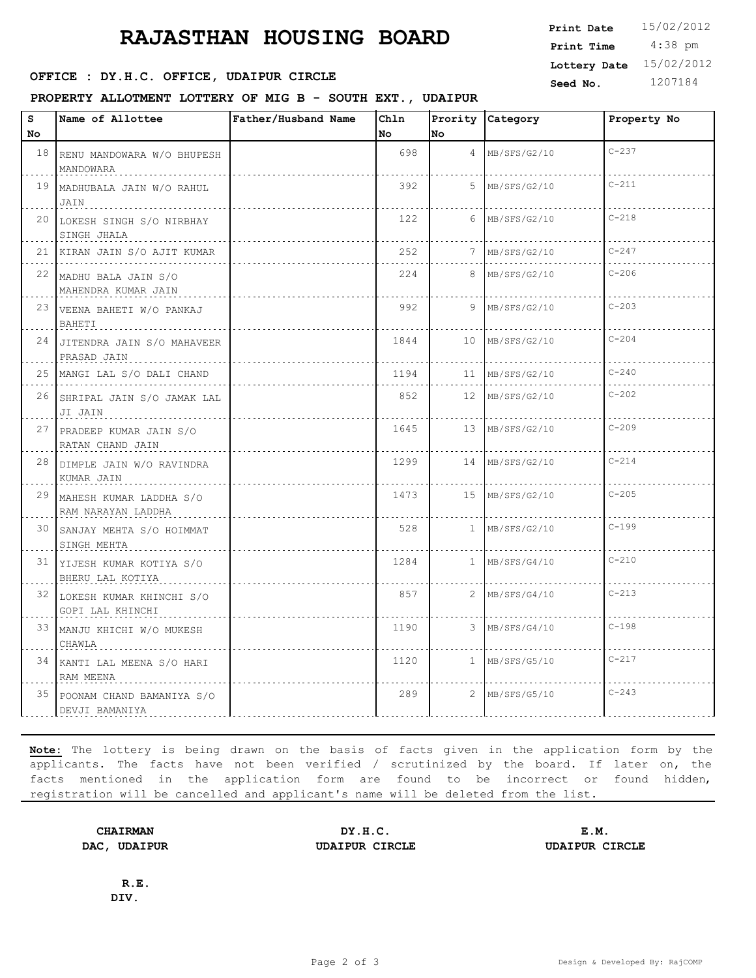# **RAJASTHAN HOUSING BOARD**

#### **SEED : DY.H.C. OFFICE, UDAIPUR CIRCLE** Seed No. 1207184

**PROPERTY ALLOTMENT LOTTERY OF MIG B - SOUTH EXT., UDAIPUR**

 4:38 pm **Print Time Lottery Date** 15/02/2012

**Print Date**  $15/02/2012$ 

| s<br>No. | Name of Allottee                                 | Father/Husband Name | ChIn<br>No | lno. | Prority Category  | Property No |
|----------|--------------------------------------------------|---------------------|------------|------|-------------------|-------------|
|          |                                                  |                     |            |      |                   |             |
|          | 18 RENU MANDOWARA W/O BHUPESH<br>MANDOWARA       |                     | 698        |      | $4$ MB/SFS/G2/10  | $C - 237$   |
|          | 19 MADHUBALA JAIN W/O RAHUL<br>JAIN              |                     | 392        |      | 5 MB/SFS/G2/10    | $C - 211$   |
|          | 20 LOKESH SINGH S/O NIRBHAY<br>SINGH JHALA       |                     | 122        |      | $6$ MB/SFS/G2/10  | $C - 218$   |
|          | 21  KIRAN JAIN S/O AJIT KUMAR                    |                     | 252        |      | 7 MB/SFS/G2/10    | $C - 247$   |
|          | 22 MADHU BALA JAIN S/O<br>MAHENDRA KUMAR JAIN    |                     | 224        |      | 8 MB/SFS/G2/10    | $C-206$     |
|          | 23 VEENA BAHETI W/O PANKAJ<br>BAHETI             |                     | 992        |      | 9 MB/SFS/G2/10    | $C - 203$   |
|          | 24 JITENDRA JAIN S/O MAHAVEER<br>PRASAD JAIN     |                     | 1844       |      | 10 MB/SFS/G2/10   | $C - 204$   |
|          | 25 MANGI LAL S/O DALI CHAND                      |                     | 1194       |      | 11 MB/SFS/G2/10   | $C - 240$   |
|          | 26 SHRIPAL JAIN S/O JAMAK LAL<br>JI JAIN<br>.    |                     | 852        |      | 12 MB/SFS/G2/10   | $C - 202$   |
|          | 27 PRADEEP KUMAR JAIN S/O<br>RATAN CHAND JAIN    |                     | 1645       |      | 13 MB/SFS/G2/10   | $C - 209$   |
|          | 28 DIMPLE JAIN W/O RAVINDRA<br>KUMAR JAIN        |                     | 1299       |      | 14   MB/SFS/G2/10 | $C - 214$   |
|          | 29 MAHESH KUMAR LADDHA S/O<br>RAM NARAYAN LADDHA |                     | 1473       |      | 15   MB/SFS/G2/10 | $C - 205$   |
|          | 30 SANJAY MEHTA S/O HOIMMAT<br>SINGH MEHTA       |                     | 528        |      | $1$ MB/SFS/G2/10  | $C-199$     |
|          | 31 YIJESH KUMAR KOTIYA S/O<br>BHERU LAL KOTIYA   |                     | 1284       |      | 1 MB/SFS/G4/10    | $C - 210$   |
|          | 32 LOKESH KUMAR KHINCHI S/O<br>GOPI LAL KHINCHI  |                     | 857        |      | $2$ MB/SFS/G4/10  | $C - 213$   |
|          | 33 MANJU KHICHI W/O MUKESH<br>CHAWLA             |                     | 1190       |      | 3 MB/SFS/G4/10    | $C - 198$   |
|          | 34 KANTI LAL MEENA S/O HARI<br>RAM MEENA         |                     | 1120       |      | $1$ MB/SFS/G5/10  | $C - 217$   |
|          | 35 POONAM CHAND BAMANIYA S/O<br>DEVJI BAMANIYA   |                     | 289        |      | 2 MB/SFS/G5/10    | $C - 243$   |

**Note:** The lottery is being drawn on the basis of facts given in the application form by the applicants. The facts have not been verified / scrutinized by the board. If later on, the facts mentioned in the application form are found to be incorrect or found hidden, registration will be cancelled and applicant's name will be deleted from the list.

**CHAIRMAN DY.H.C. E.M. DAC, UDAIPUR UDAIPUR CIRCLE UDAIPUR CIRCLE**

**R.E. DIV.**